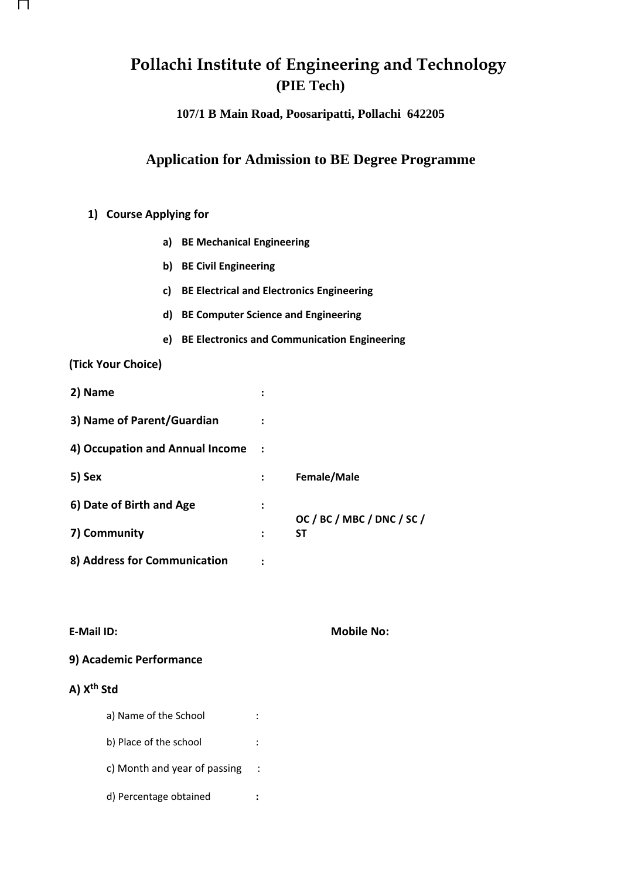# **Pollachi Institute of Engineering and Technology (PIE Tech)**

**107/1 B Main Road, Poosaripatti, Pollachi 642205**

# **Application for Admission to BE Degree Programme**

## **1) Course Applying for**

- **a) BE Mechanical Engineering**
- **b) BE Civil Engineering**
- **c) BE Electrical and Electronics Engineering**
- **d) BE Computer Science and Engineering**
- **e) BE Electronics and Communication Engineering**

#### **(Tick Your Choice)**

П

| 2) Name                         | ፡ |                                         |
|---------------------------------|---|-----------------------------------------|
| 3) Name of Parent/Guardian      |   |                                         |
| 4) Occupation and Annual Income |   |                                         |
| 5) Sex                          |   | Female/Male                             |
| 6) Date of Birth and Age        | : |                                         |
| 7) Community                    | : | OC / BC / MBC / DNC / SC /<br><b>ST</b> |
| 8) Address for Communication    |   |                                         |

#### **E-Mail ID: Mobile No:**

### **9) Academic Performance**

# **A) Xth Std**

| a) Name of the School        |  |
|------------------------------|--|
| b) Place of the school       |  |
| c) Month and year of passing |  |
| d) Percentage obtained       |  |